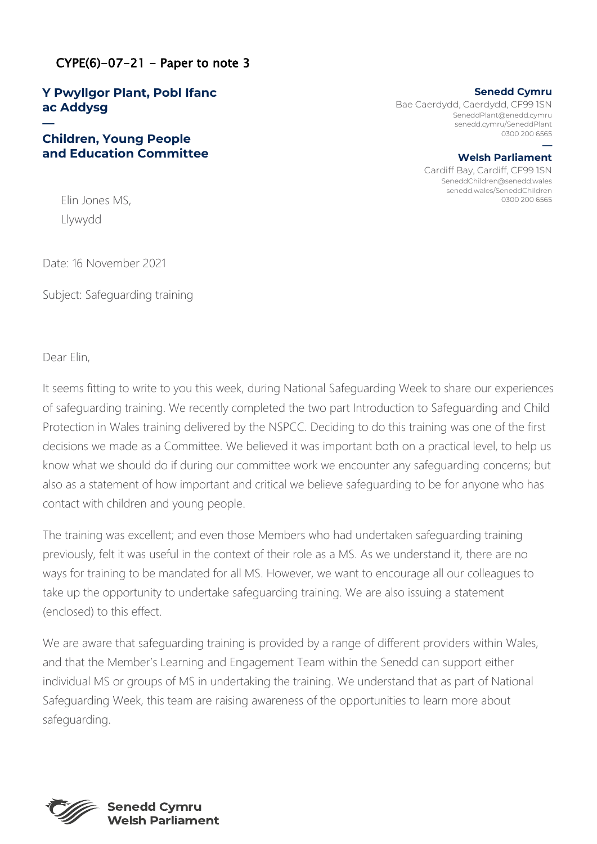# $CYPE(6)-07-21$  - Paper to note 3

# **Y Pwyllgor Plant, Pobl Ifanc ac Addysg**

### **— Children, Young People and Education Committee**

**Senedd Cymru** Bae Caerdydd, Caerdydd, CF99 1SN SeneddPlant@enedd.cymru senedd.cymru/SeneddPlant 0300 200 6565 **—**

**Welsh Parliament** Cardiff Bay, Cardiff, CF99 1SN SeneddChildren@senedd.wales senedd.wales/SeneddChildren Elin Jones MS, 0300 200 6565

Llywydd

Date: 16 November 2021

Subject: Safeguarding training

Dear Elin,

It seems fitting to write to you this week, during National Safeguarding Week to share our experiences of safeguarding training. We recently completed the two part Introduction to Safeguarding and Child Protection in Wales training delivered by the NSPCC. Deciding to do this training was one of the first decisions we made as a Committee. We believed it was important both on a practical level, to help us know what we should do if during our committee work we encounter any safeguarding concerns; but also as a statement of how important and critical we believe safeguarding to be for anyone who has contact with children and young people.

The training was excellent; and even those Members who had undertaken safeguarding training previously, felt it was useful in the context of their role as a MS. As we understand it, there are no ways for training to be mandated for all MS. However, we want to encourage all our colleagues to take up the opportunity to undertake safeguarding training. We are also issuing a statement (enclosed) to this effect.

We are aware that safeguarding training is provided by a range of different providers within Wales, and that the Member's Learning and Engagement Team within the Senedd can support either individual MS or groups of MS in undertaking the training. We understand that as part of National Safeguarding Week, this team are raising awareness of the opportunities to learn more about safeguarding.



**Senedd Cymru Welsh Parliament**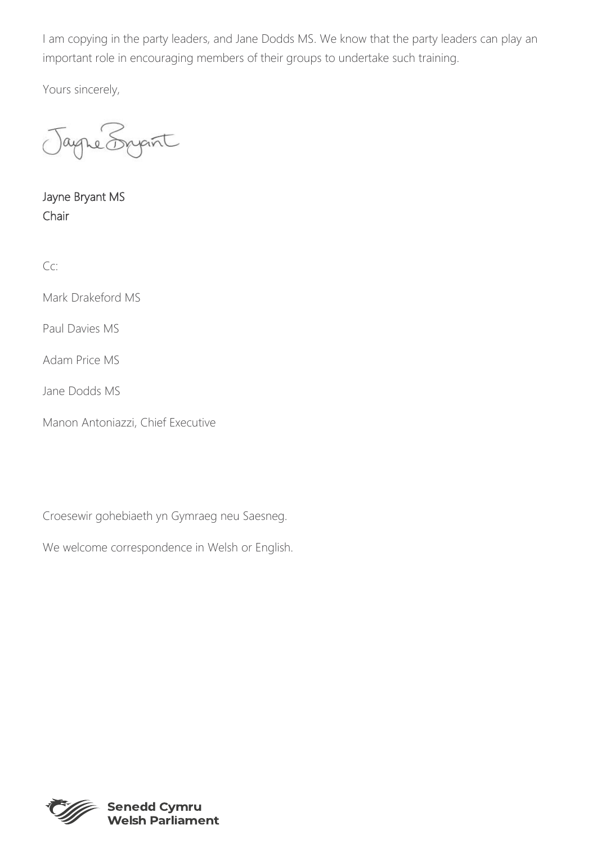I am copying in the party leaders, and Jane Dodds MS. We know that the party leaders can play an important role in encouraging members of their groups to undertake such training.

Yours sincerely,

re Sypint

Jayne Bryant MS Chair

Cc:

Mark Drakeford MS

Paul Davies MS

Adam Price MS

Jane Dodds MS

Manon Antoniazzi, Chief Executive

Croesewir gohebiaeth yn Gymraeg neu Saesneg.

We welcome correspondence in Welsh or English.



**Senedd Cymru Welsh Parliament**